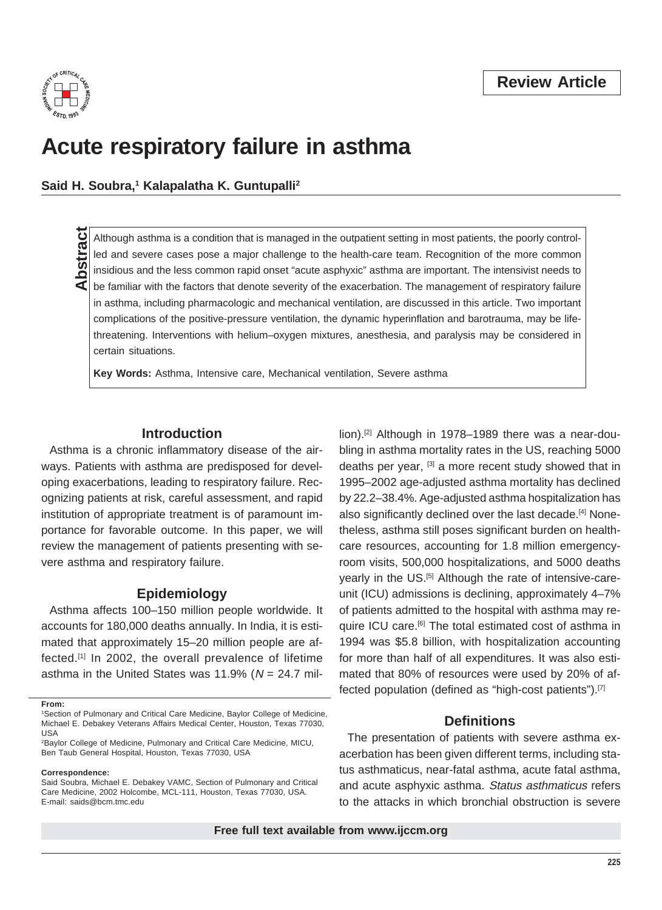

# **Acute respiratory failure in asthma**

Said H. Soubra,<sup>1</sup> Kalapalatha K. Guntupalli<sup>2</sup>

Although asthma is a condition that is managed in the outpatient setting in most patients, the poorly control-<br>led and severe cases pose a major challenge to the health-care team. Recognition of the more common-<br>insidious led and severe cases pose a major challenge to the health-care team. Recognition of the more common insidious and the less common rapid onset "acute asphyxic" asthma are important. The intensivist needs to be familiar with the factors that denote severity of the exacerbation. The management of respiratory failure in asthma, including pharmacologic and mechanical ventilation, are discussed in this article. Two important complications of the positive-pressure ventilation, the dynamic hyperinflation and barotrauma, may be lifethreatening. Interventions with helium–oxygen mixtures, anesthesia, and paralysis may be considered in certain situations.

**Key Words:** Asthma, Intensive care, Mechanical ventilation, Severe asthma

ways. Patients with asthma are predisposed for devel- deaths per year, <sup>[3]</sup> a more recent study showed that in oping exacerbations, leading to respiratory failure. Rec- 1995–2002 age-adjusted asthma mortality has declined ognizing patients at risk, careful assessment, and rapid by 22.2–38.4%. Age-adjusted asthma hospitalization has institution of appropriate treatment is of paramount im-<br>also significantly declined over the last decade.<sup>[4]</sup> Noneportance for favorable outcome. In this paper, we will theless, asthma still poses significant burden on healthreview the management of patients presenting with se- care resources, accounting for 1.8 million emergencyvere asthma and respiratory failure. The room visits, 500,000 hospitalizations, and 5000 deaths

accounts for 180,000 deaths annually. In India, it is esti- quire ICU care.<sup>[6]</sup> The total estimated cost of asthma in mated that approximately 15–20 million people are af- 1994 was \$5.8 billion, with hospitalization accounting fected.<sup>[1]</sup> In 2002, the overall prevalence of lifetime for more than half of all expenditures. It was also estiasthma in the United States was 11.9% ( $N = 24.7$  mil- mated that 80% of resources were used by 20% of af-

2 Baylor College of Medicine, Pulmonary and Critical Care Medicine, MICU, Ben Taub General Hospital, Houston, Texas 77030, USA

**Correspondence:** 

**Introduction lion**).<sup>[2]</sup> Although in 1978–1989 there was a near-dou-Asthma is a chronic inflammatory disease of the air- bling in asthma mortality rates in the US, reaching 5000 yearly in the US.<sup>[5]</sup> Although the rate of intensive-care-**Epidemiology Epidemiology unit (ICU)** admissions is declining, approximately 4–7% Asthma affects 100–150 million people worldwide. It of patients admitted to the hospital with asthma may refected population (defined as "high-cost patients").[7]

#### **Definitions**

The presentation of patients with severe asthma exacerbation has been given different terms, including status asthmaticus, near-fatal asthma, acute fatal asthma, and acute asphyxic asthma. Status asthmaticus refers to the attacks in which bronchial obstruction is severe

**From:** 

<sup>1</sup> Section of Pulmonary and Critical Care Medicine, Baylor College of Medicine, Michael E. Debakey Veterans Affairs Medical Center, Houston, Texas 77030, USA

Said Soubra, Michael E. Debakey VAMC, Section of Pulmonary and Critical Care Medicine, 2002 Holcombe, MCL-111, Houston, Texas 77030, USA. E-mail: saids@bcm.tmc.edu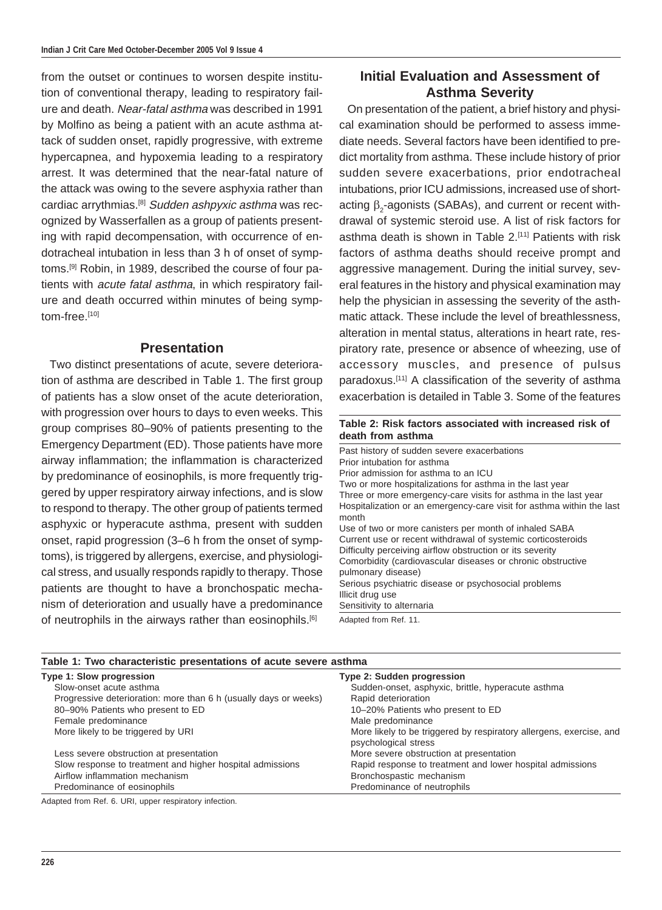from the outset or continues to worsen despite institution of conventional therapy, leading to respiratory failure and death. Near-fatal asthma was described in 1991 by Molfino as being a patient with an acute asthma attack of sudden onset, rapidly progressive, with extreme hypercapnea, and hypoxemia leading to a respiratory arrest. It was determined that the near-fatal nature of the attack was owing to the severe asphyxia rather than cardiac arrythmias.<sup>[8]</sup> Sudden ashpyxic asthma was recognized by Wasserfallen as a group of patients presenting with rapid decompensation, with occurrence of endotracheal intubation in less than 3 h of onset of symptoms.[9] Robin, in 1989, described the course of four patients with *acute fatal asthma*, in which respiratory failure and death occurred within minutes of being symptom-free.[10]

#### **Presentation**

Two distinct presentations of acute, severe deterioration of asthma are described in Table 1. The first group of patients has a slow onset of the acute deterioration, with progression over hours to days to even weeks. This group comprises 80–90% of patients presenting to the Emergency Department (ED). Those patients have more airway inflammation; the inflammation is characterized by predominance of eosinophils, is more frequently triggered by upper respiratory airway infections, and is slow to respond to therapy. The other group of patients termed asphyxic or hyperacute asthma, present with sudden onset, rapid progression (3–6 h from the onset of symptoms), is triggered by allergens, exercise, and physiological stress, and usually responds rapidly to therapy. Those patients are thought to have a bronchospatic mechanism of deterioration and usually have a predominance of neutrophils in the airways rather than eosinophils.<sup>[6]</sup>

**Table 1: Two characteristic presentations of acute severe asthma** 

## **Initial Evaluation and Assessment of Asthma Severity**

On presentation of the patient, a brief history and physical examination should be performed to assess immediate needs. Several factors have been identified to predict mortality from asthma. These include history of prior sudden severe exacerbations, prior endotracheal intubations, prior ICU admissions, increased use of shortacting  $β_2$ -agonists (SABAs), and current or recent with drawal of systemic steroid use. A list of risk factors for asthma death is shown in Table 2.<sup>[11]</sup> Patients with risk factors of asthma deaths should receive prompt and aggressive management. During the initial survey, several features in the history and physical examination may help the physician in assessing the severity of the asthmatic attack. These include the level of breathlessness, alteration in mental status, alterations in heart rate, respiratory rate, presence or absence of wheezing, use of accessory muscles, and presence of pulsus paradoxus.[11] A classification of the severity of asthma exacerbation is detailed in Table 3. Some of the features

#### **Table 2: Risk factors associated with increased risk of death from asthma**

Past history of sudden severe exacerbations Prior intubation for asthma Prior admission for asthma to an ICU Two or more hospitalizations for asthma in the last year Three or more emergency-care visits for asthma in the last year Hospitalization or an emergency-care visit for asthma within the last month Use of two or more canisters per month of inhaled SABA Current use or recent withdrawal of systemic corticosteroids Difficulty perceiving airflow obstruction or its severity Comorbidity (cardiovascular diseases or chronic obstructive pulmonary disease) Serious psychiatric disease or psychosocial problems Illicit drug use Sensitivity to alternaria

Adapted from Ref. 11.

| Table 1. The characteristic presentations of abate servic astrona |                                                                                             |  |  |  |
|-------------------------------------------------------------------|---------------------------------------------------------------------------------------------|--|--|--|
| Type 1: Slow progression                                          | Type 2: Sudden progression                                                                  |  |  |  |
| Slow-onset acute asthma                                           | Sudden-onset, asphyxic, brittle, hyperacute asthma                                          |  |  |  |
| Progressive deterioration: more than 6 h (usually days or weeks)  | Rapid deterioration                                                                         |  |  |  |
| 80-90% Patients who present to ED                                 | 10-20% Patients who present to ED                                                           |  |  |  |
| Female predominance                                               | Male predominance                                                                           |  |  |  |
| More likely to be triggered by URI                                | More likely to be triggered by respiratory allergens, exercise, and<br>psychological stress |  |  |  |
| Less severe obstruction at presentation                           | More severe obstruction at presentation                                                     |  |  |  |
| Slow response to treatment and higher hospital admissions         | Rapid response to treatment and lower hospital admissions                                   |  |  |  |
| Airflow inflammation mechanism                                    | Bronchospastic mechanism                                                                    |  |  |  |
| Predominance of eosinophils                                       | Predominance of neutrophils                                                                 |  |  |  |
|                                                                   |                                                                                             |  |  |  |

Adapted from Ref. 6. URI, upper respiratory infection.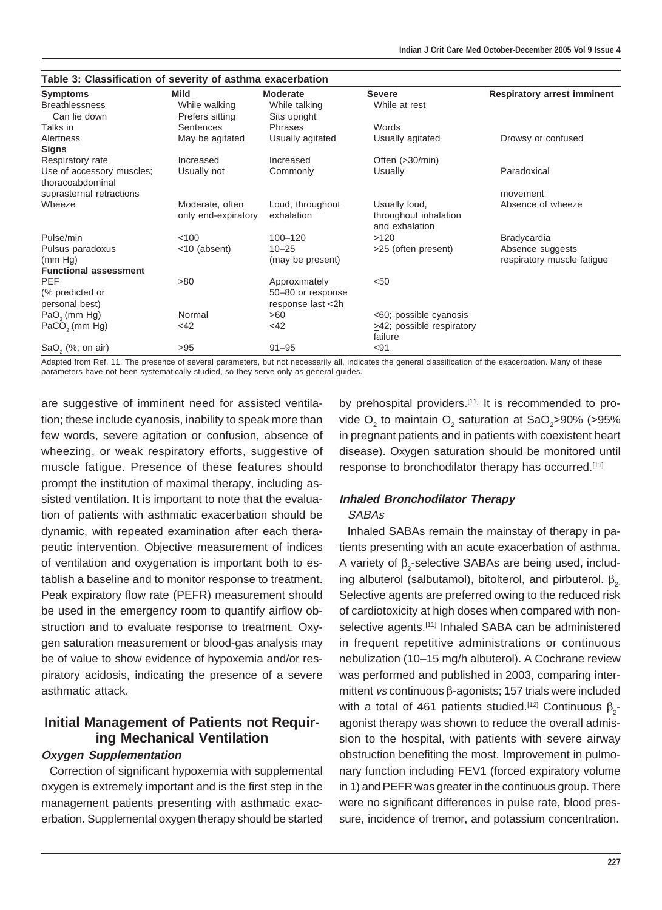| Table 3: Classification of severity of asthma exacerbation |                     |                   |                                 |                                    |  |
|------------------------------------------------------------|---------------------|-------------------|---------------------------------|------------------------------------|--|
| <b>Symptoms</b>                                            | Mild                | <b>Moderate</b>   | <b>Severe</b>                   | <b>Respiratory arrest imminent</b> |  |
| <b>Breathlessness</b>                                      | While walking       | While talking     | While at rest                   |                                    |  |
| Can lie down                                               | Prefers sitting     | Sits upright      |                                 |                                    |  |
| Talks in                                                   | Sentences           | Phrases           | Words                           |                                    |  |
| Alertness                                                  | May be agitated     | Usually agitated  | Usually agitated                | Drowsy or confused                 |  |
| <b>Signs</b>                                               |                     |                   |                                 |                                    |  |
| Respiratory rate                                           | Increased           | Increased         | Often $(>30/min)$               |                                    |  |
| Use of accessory muscles;                                  | Usually not         | Commonly          | Usually                         | Paradoxical                        |  |
| thoracoabdominal                                           |                     |                   |                                 |                                    |  |
| suprasternal retractions                                   |                     |                   |                                 | movement                           |  |
| Wheeze                                                     | Moderate, often     | Loud, throughout  | Usually loud,                   | Absence of wheeze                  |  |
|                                                            | only end-expiratory | exhalation        | throughout inhalation           |                                    |  |
|                                                            |                     |                   | and exhalation                  |                                    |  |
| Pulse/min                                                  | 100                 | $100 - 120$       | >120                            | <b>Bradycardia</b>                 |  |
| Pulsus paradoxus                                           | <10 (absent)        | $10 - 25$         | >25 (often present)             | Absence suggests                   |  |
| (mm Hg)                                                    |                     | (may be present)  |                                 | respiratory muscle fatigue         |  |
| <b>Functional assessment</b>                               |                     |                   |                                 |                                    |  |
| <b>PEF</b>                                                 | >80                 | Approximately     | $50$                            |                                    |  |
| (% predicted or                                            |                     | 50-80 or response |                                 |                                    |  |
| personal best)                                             |                     | response last <2h |                                 |                                    |  |
| $PaO2$ (mm Hg)                                             | Normal              | >60               | <60; possible cyanosis          |                                    |  |
| PaCO <sub>2</sub> (mm Hg)                                  | $<$ 42              | <42               | $\geq$ 42; possible respiratory |                                    |  |
|                                                            |                     |                   | failure                         |                                    |  |
| $SaO,$ $(\%;$ on air)                                      | >95                 | $91 - 95$         | $91$                            |                                    |  |

Adapted from Ref. 11. The presence of several parameters, but not necessarily all, indicates the general classification of the exacerbation. Many of these parameters have not been systematically studied, so they serve only as general guides.

are suggestive of imminent need for assisted ventilation; these include cyanosis, inability to speak more than few words, severe agitation or confusion, absence of wheezing, or weak respiratory efforts, suggestive of muscle fatigue. Presence of these features should prompt the institution of maximal therapy, including assisted ventilation. It is important to note that the evaluation of patients with asthmatic exacerbation should be dynamic, with repeated examination after each therapeutic intervention. Objective measurement of indices of ventilation and oxygenation is important both to establish a baseline and to monitor response to treatment. Peak expiratory flow rate (PEFR) measurement should be used in the emergency room to quantify airflow obstruction and to evaluate response to treatment. Oxygen saturation measurement or blood-gas analysis may be of value to show evidence of hypoxemia and/or respiratory acidosis, indicating the presence of a severe asthmatic attack.

# **Initial Management of Patients not Requiring Mechanical Ventilation**

#### **Oxygen Supplementation**

Correction of significant hypoxemia with supplemental oxygen is extremely important and is the first step in the management patients presenting with asthmatic exacerbation. Supplemental oxygen therapy should be started by prehospital providers.<sup>[11]</sup> It is recommended to provide O<sub>2</sub> to maintain O<sub>2</sub> saturation at SaO<sub>2</sub>>90% (>95% in pregnant patients and in patients with coexistent heart disease). Oxygen saturation should be monitored until response to bronchodilator therapy has occurred.<sup>[11]</sup>

# **Inhaled Bronchodilator Therapy**

#### **SABAs**

Inhaled SABAs remain the mainstay of therapy in patients presenting with an acute exacerbation of asthma. A variety of  $\beta_2$ -selective SABAs are being used, includ ing albuterol (salbutamol), bitolterol, and pirbuterol.  $β_2$ Selective agents are preferred owing to the reduced risk of cardiotoxicity at high doses when compared with nonselective agents.<sup>[11]</sup> Inhaled SABA can be administered in frequent repetitive administrations or continuous nebulization (10–15 mg/h albuterol). A Cochrane review was performed and published in 2003, comparing intermittent vs continuous β-agonists; 157 trials were included with a total of 461 patients studied.<sup>[12]</sup> Continuous  $β_2$ -1 agonist therapy was shown to reduce the overall admission to the hospital, with patients with severe airway obstruction benefiting the most. Improvement in pulmonary function including FEV1 (forced expiratory volume in 1) and PEFR was greater in the continuous group. There were no significant differences in pulse rate, blood pressure, incidence of tremor, and potassium concentration.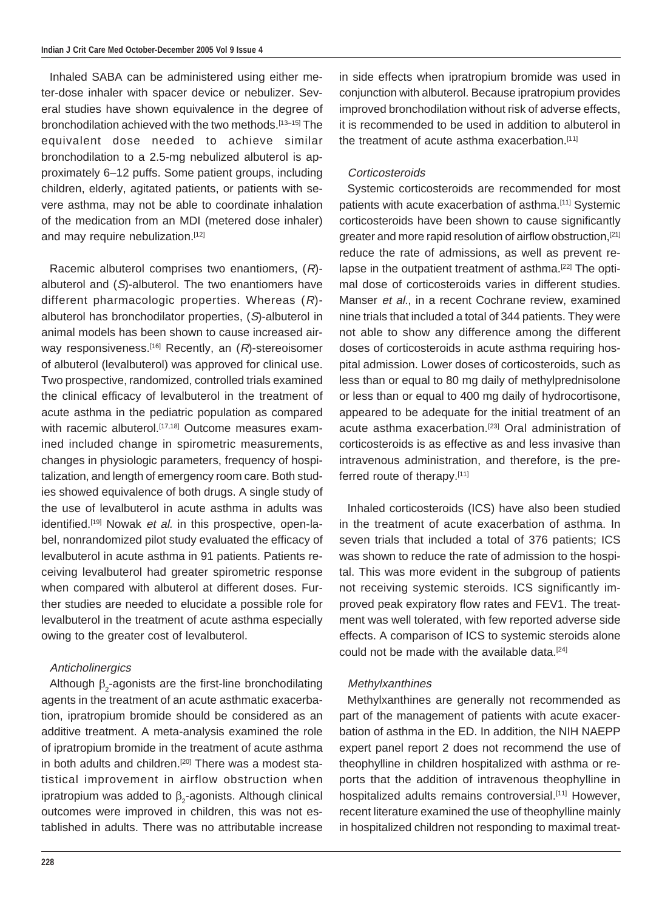Inhaled SABA can be administered using either meter-dose inhaler with spacer device or nebulizer. Several studies have shown equivalence in the degree of bronchodilation achieved with the two methods.[13–15] The equivalent dose needed to achieve similar bronchodilation to a 2.5-mg nebulized albuterol is approximately 6–12 puffs. Some patient groups, including children, elderly, agitated patients, or patients with severe asthma, may not be able to coordinate inhalation of the medication from an MDI (metered dose inhaler) and may require nebulization.<sup>[12]</sup>

Racemic albuterol comprises two enantiomers, (R) albuterol and (S)-albuterol. The two enantiomers have different pharmacologic properties. Whereas  $(R)$ albuterol has bronchodilator properties, (S)-albuterol in animal models has been shown to cause increased airway responsiveness.<sup>[16]</sup> Recently, an  $(R)$ -stereoisomer of albuterol (levalbuterol) was approved for clinical use. Two prospective, randomized, controlled trials examined the clinical efficacy of levalbuterol in the treatment of acute asthma in the pediatric population as compared with racemic albuterol.<sup>[17,18]</sup> Outcome measures examined included change in spirometric measurements, changes in physiologic parameters, frequency of hospitalization, and length of emergency room care. Both studies showed equivalence of both drugs. A single study of the use of levalbuterol in acute asthma in adults was identified.<sup>[19]</sup> Nowak et al. in this prospective, open-label, nonrandomized pilot study evaluated the efficacy of levalbuterol in acute asthma in 91 patients. Patients receiving levalbuterol had greater spirometric response when compared with albuterol at different doses. Further studies are needed to elucidate a possible role for levalbuterol in the treatment of acute asthma especially owing to the greater cost of levalbuterol.

#### **Anticholinergics**

Although  $\beta_2$ -agonists are the first-line bronchodilating agents in the treatment of an acute asthmatic exacerbation, ipratropium bromide should be considered as an additive treatment. A meta-analysis examined the role of ipratropium bromide in the treatment of acute asthma in both adults and children.<sup>[20]</sup> There was a modest statistical improvement in airflow obstruction when ipratropium was added to  $\beta_2$ -agonists. Although clinical outcomes were improved in children, this was not established in adults. There was no attributable increase

in side effects when ipratropium bromide was used in conjunction with albuterol. Because ipratropium provides improved bronchodilation without risk of adverse effects, it is recommended to be used in addition to albuterol in the treatment of acute asthma exacerbation.<sup>[11]</sup>

#### **Corticosteroids**

Systemic corticosteroids are recommended for most patients with acute exacerbation of asthma.[11] Systemic corticosteroids have been shown to cause significantly greater and more rapid resolution of airflow obstruction,<sup>[21]</sup> reduce the rate of admissions, as well as prevent relapse in the outpatient treatment of asthma.<sup>[22]</sup> The optimal dose of corticosteroids varies in different studies. Manser *et al.*, in a recent Cochrane review, examined nine trials that included a total of 344 patients. They were not able to show any difference among the different doses of corticosteroids in acute asthma requiring hospital admission. Lower doses of corticosteroids, such as less than or equal to 80 mg daily of methylprednisolone or less than or equal to 400 mg daily of hydrocortisone, appeared to be adequate for the initial treatment of an acute asthma exacerbation.<sup>[23]</sup> Oral administration of corticosteroids is as effective as and less invasive than intravenous administration, and therefore, is the preferred route of therapy.[11]

Inhaled corticosteroids (ICS) have also been studied in the treatment of acute exacerbation of asthma. In seven trials that included a total of 376 patients; ICS was shown to reduce the rate of admission to the hospital. This was more evident in the subgroup of patients not receiving systemic steroids. ICS significantly improved peak expiratory flow rates and FEV1. The treatment was well tolerated, with few reported adverse side effects. A comparison of ICS to systemic steroids alone could not be made with the available data.<sup>[24]</sup>

#### Methylxanthines

Methylxanthines are generally not recommended as part of the management of patients with acute exacerbation of asthma in the ED. In addition, the NIH NAEPP expert panel report 2 does not recommend the use of theophylline in children hospitalized with asthma or reports that the addition of intravenous theophylline in hospitalized adults remains controversial.<sup>[11]</sup> However, recent literature examined the use of theophylline mainly in hospitalized children not responding to maximal treat-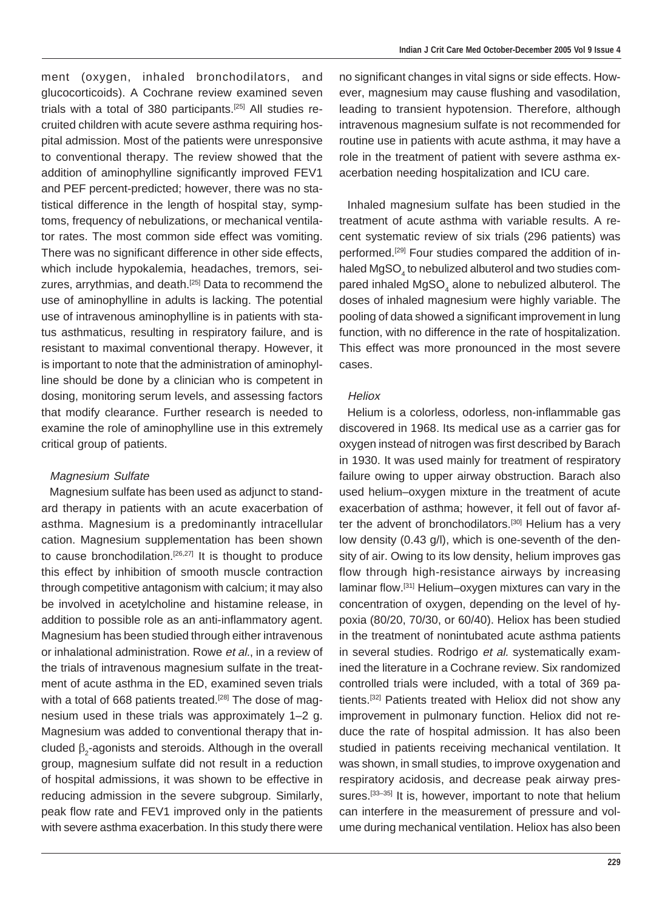ment (oxygen, inhaled bronchodilators, and glucocorticoids). A Cochrane review examined seven trials with a total of 380 participants.[25] All studies recruited children with acute severe asthma requiring hospital admission. Most of the patients were unresponsive to conventional therapy. The review showed that the addition of aminophylline significantly improved FEV1 and PEF percent-predicted; however, there was no statistical difference in the length of hospital stay, symptoms, frequency of nebulizations, or mechanical ventilator rates. The most common side effect was vomiting. There was no significant difference in other side effects, which include hypokalemia, headaches, tremors, seizures, arrythmias, and death.<sup>[25]</sup> Data to recommend the use of aminophylline in adults is lacking. The potential use of intravenous aminophylline is in patients with status asthmaticus, resulting in respiratory failure, and is resistant to maximal conventional therapy. However, it is important to note that the administration of aminophylline should be done by a clinician who is competent in dosing, monitoring serum levels, and assessing factors that modify clearance. Further research is needed to examine the role of aminophylline use in this extremely critical group of patients.

#### Magnesium Sulfate

Magnesium sulfate has been used as adjunct to standard therapy in patients with an acute exacerbation of asthma. Magnesium is a predominantly intracellular cation. Magnesium supplementation has been shown to cause bronchodilation.<sup>[26,27]</sup> It is thought to produce this effect by inhibition of smooth muscle contraction through competitive antagonism with calcium; it may also be involved in acetylcholine and histamine release, in addition to possible role as an anti-inflammatory agent. Magnesium has been studied through either intravenous or inhalational administration. Rowe et al., in a review of the trials of intravenous magnesium sulfate in the treatment of acute asthma in the ED, examined seven trials with a total of 668 patients treated.<sup>[28]</sup> The dose of magnesium used in these trials was approximately 1–2 g. Magnesium was added to conventional therapy that included  $β_2$ -agonists and steroids. Although in the overall group, magnesium sulfate did not result in a reduction of hospital admissions, it was shown to be effective in reducing admission in the severe subgroup. Similarly, peak flow rate and FEV1 improved only in the patients with severe asthma exacerbation. In this study there were

no significant changes in vital signs or side effects. However, magnesium may cause flushing and vasodilation, leading to transient hypotension. Therefore, although intravenous magnesium sulfate is not recommended for routine use in patients with acute asthma, it may have a role in the treatment of patient with severe asthma exacerbation needing hospitalization and ICU care.

Inhaled magnesium sulfate has been studied in the treatment of acute asthma with variable results. A recent systematic review of six trials (296 patients) was performed.<sup>[29]</sup> Four studies compared the addition of inhaled MgSO $_{\scriptscriptstyle 4}$  to nebulized albuterol and two studies com pared inhaled MgSO $_{\scriptscriptstyle 4}$  alone to nebulized albuterol. The doses of inhaled magnesium were highly variable. The pooling of data showed a significant improvement in lung function, with no difference in the rate of hospitalization. This effect was more pronounced in the most severe cases.

#### **Heliox**

Helium is a colorless, odorless, non-inflammable gas discovered in 1968. Its medical use as a carrier gas for oxygen instead of nitrogen was first described by Barach in 1930. It was used mainly for treatment of respiratory failure owing to upper airway obstruction. Barach also used helium–oxygen mixture in the treatment of acute exacerbation of asthma; however, it fell out of favor after the advent of bronchodilators.<sup>[30]</sup> Helium has a very low density (0.43 g/l), which is one-seventh of the density of air. Owing to its low density, helium improves gas flow through high-resistance airways by increasing laminar flow.[31] Helium–oxygen mixtures can vary in the concentration of oxygen, depending on the level of hypoxia (80/20, 70/30, or 60/40). Heliox has been studied in the treatment of nonintubated acute asthma patients in several studies. Rodrigo et al. systematically examined the literature in a Cochrane review. Six randomized controlled trials were included, with a total of 369 patients.[32] Patients treated with Heliox did not show any improvement in pulmonary function. Heliox did not reduce the rate of hospital admission. It has also been studied in patients receiving mechanical ventilation. It was shown, in small studies, to improve oxygenation and respiratory acidosis, and decrease peak airway pressures.<sup>[33-35]</sup> It is, however, important to note that helium can interfere in the measurement of pressure and volume during mechanical ventilation. Heliox has also been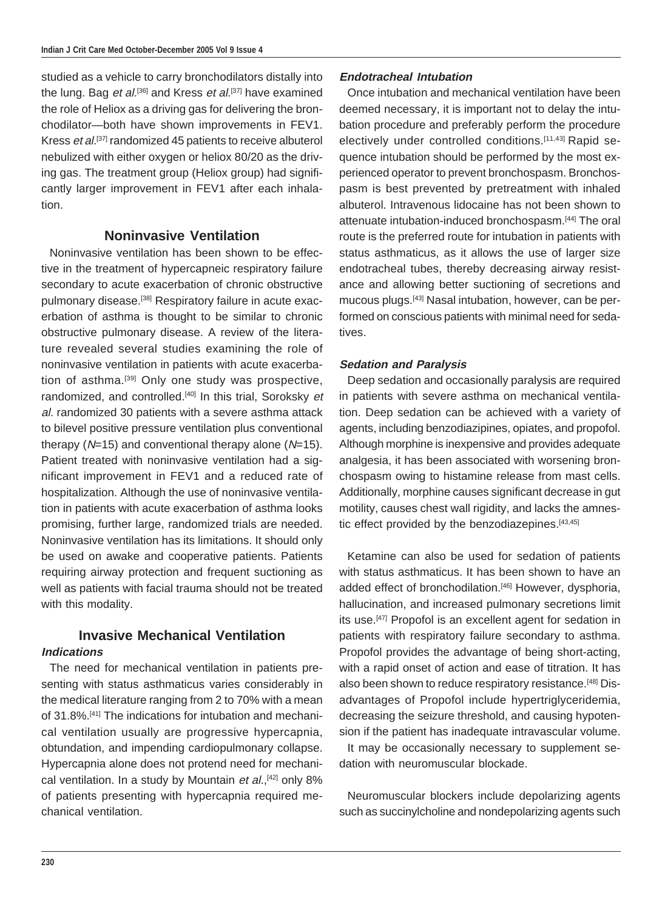studied as a vehicle to carry bronchodilators distally into the lung. Bag *et al.*<sup>[36]</sup> and Kress *et al.*<sup>[37]</sup> have examined the role of Heliox as a driving gas for delivering the bronchodilator—both have shown improvements in FEV1. Kress et al.<sup>[37]</sup> randomized 45 patients to receive albuterol nebulized with either oxygen or heliox 80/20 as the driving gas. The treatment group (Heliox group) had significantly larger improvement in FEV1 after each inhalation.

#### **Noninvasive Ventilation**

Noninvasive ventilation has been shown to be effective in the treatment of hypercapneic respiratory failure secondary to acute exacerbation of chronic obstructive pulmonary disease.<sup>[38]</sup> Respiratory failure in acute exacerbation of asthma is thought to be similar to chronic obstructive pulmonary disease. A review of the literature revealed several studies examining the role of noninvasive ventilation in patients with acute exacerbation of asthma.[39] Only one study was prospective, randomized, and controlled.<sup>[40]</sup> In this trial, Soroksky et al. randomized 30 patients with a severe asthma attack to bilevel positive pressure ventilation plus conventional therapy ( $N=15$ ) and conventional therapy alone ( $N=15$ ). Patient treated with noninvasive ventilation had a significant improvement in FEV1 and a reduced rate of hospitalization. Although the use of noninvasive ventilation in patients with acute exacerbation of asthma looks promising, further large, randomized trials are needed. Noninvasive ventilation has its limitations. It should only be used on awake and cooperative patients. Patients requiring airway protection and frequent suctioning as well as patients with facial trauma should not be treated with this modality.

#### **Invasive Mechanical Ventilation Indications**

The need for mechanical ventilation in patients presenting with status asthmaticus varies considerably in the medical literature ranging from 2 to 70% with a mean of 31.8%.[41] The indications for intubation and mechanical ventilation usually are progressive hypercapnia, obtundation, and impending cardiopulmonary collapse. Hypercapnia alone does not protend need for mechanical ventilation. In a study by Mountain et al.,<sup>[42]</sup> only 8% of patients presenting with hypercapnia required mechanical ventilation.

#### **Endotracheal Intubation**

Once intubation and mechanical ventilation have been deemed necessary, it is important not to delay the intubation procedure and preferably perform the procedure electively under controlled conditions.[11,43] Rapid sequence intubation should be performed by the most experienced operator to prevent bronchospasm. Bronchospasm is best prevented by pretreatment with inhaled albuterol. Intravenous lidocaine has not been shown to attenuate intubation-induced bronchospasm.[44] The oral route is the preferred route for intubation in patients with status asthmaticus, as it allows the use of larger size endotracheal tubes, thereby decreasing airway resistance and allowing better suctioning of secretions and mucous plugs.[43] Nasal intubation, however, can be performed on conscious patients with minimal need for sedatives.

#### **Sedation and Paralysis**

Deep sedation and occasionally paralysis are required in patients with severe asthma on mechanical ventilation. Deep sedation can be achieved with a variety of agents, including benzodiazipines, opiates, and propofol. Although morphine is inexpensive and provides adequate analgesia, it has been associated with worsening bronchospasm owing to histamine release from mast cells. Additionally, morphine causes significant decrease in gut motility, causes chest wall rigidity, and lacks the amnestic effect provided by the benzodiazepines.<sup>[43,45]</sup>

Ketamine can also be used for sedation of patients with status asthmaticus. It has been shown to have an added effect of bronchodilation.<sup>[46]</sup> However, dysphoria, hallucination, and increased pulmonary secretions limit its use.<sup>[47]</sup> Propofol is an excellent agent for sedation in patients with respiratory failure secondary to asthma. Propofol provides the advantage of being short-acting, with a rapid onset of action and ease of titration. It has also been shown to reduce respiratory resistance.<sup>[48]</sup> Disadvantages of Propofol include hypertriglyceridemia, decreasing the seizure threshold, and causing hypotension if the patient has inadequate intravascular volume.

It may be occasionally necessary to supplement sedation with neuromuscular blockade.

Neuromuscular blockers include depolarizing agents such as succinylcholine and nondepolarizing agents such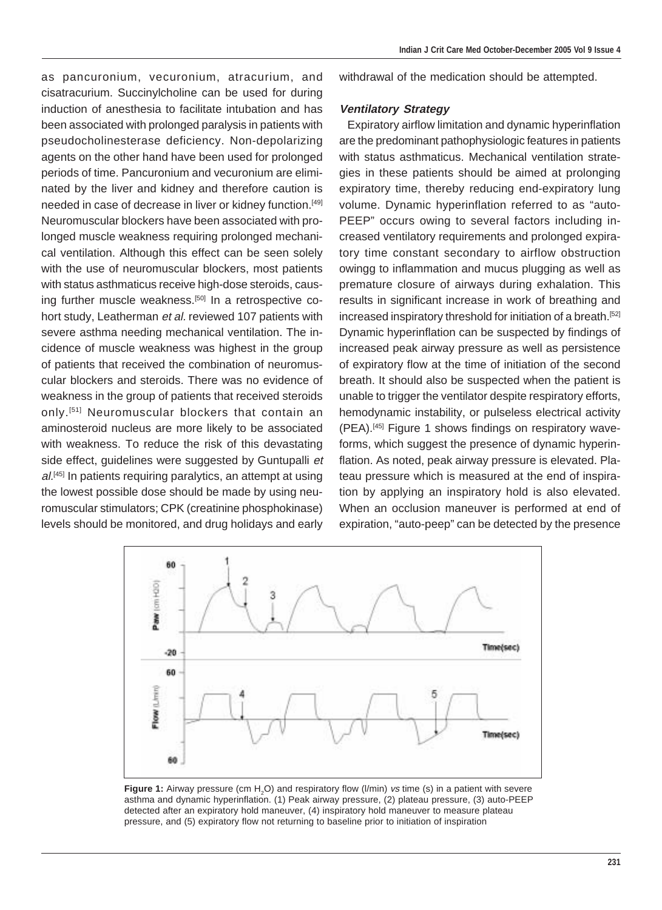as pancuronium, vecuronium, atracurium, and cisatracurium. Succinylcholine can be used for during induction of anesthesia to facilitate intubation and has been associated with prolonged paralysis in patients with pseudocholinesterase deficiency. Non-depolarizing agents on the other hand have been used for prolonged periods of time. Pancuronium and vecuronium are eliminated by the liver and kidney and therefore caution is needed in case of decrease in liver or kidney function.[49] Neuromuscular blockers have been associated with prolonged muscle weakness requiring prolonged mechanical ventilation. Although this effect can be seen solely with the use of neuromuscular blockers, most patients with status asthmaticus receive high-dose steroids, causing further muscle weakness.<sup>[50]</sup> In a retrospective cohort study, Leatherman et al. reviewed 107 patients with severe asthma needing mechanical ventilation. The incidence of muscle weakness was highest in the group of patients that received the combination of neuromuscular blockers and steroids. There was no evidence of weakness in the group of patients that received steroids only.[51] Neuromuscular blockers that contain an aminosteroid nucleus are more likely to be associated with weakness. To reduce the risk of this devastating side effect, guidelines were suggested by Guntupalli et  $al$ <sup>[45]</sup> In patients requiring paralytics, an attempt at using the lowest possible dose should be made by using neuromuscular stimulators; CPK (creatinine phosphokinase) levels should be monitored, and drug holidays and early withdrawal of the medication should be attempted.

#### **Ventilatory Strategy**

Expiratory airflow limitation and dynamic hyperinflation are the predominant pathophysiologic features in patients with status asthmaticus. Mechanical ventilation strategies in these patients should be aimed at prolonging expiratory time, thereby reducing end-expiratory lung volume. Dynamic hyperinflation referred to as "auto-PEEP" occurs owing to several factors including increased ventilatory requirements and prolonged expiratory time constant secondary to airflow obstruction owingg to inflammation and mucus plugging as well as premature closure of airways during exhalation. This results in significant increase in work of breathing and increased inspiratory threshold for initiation of a breath.<sup>[52]</sup> Dynamic hyperinflation can be suspected by findings of increased peak airway pressure as well as persistence of expiratory flow at the time of initiation of the second breath. It should also be suspected when the patient is unable to trigger the ventilator despite respiratory efforts, hemodynamic instability, or pulseless electrical activity (PEA).[45] Figure 1 shows findings on respiratory waveforms, which suggest the presence of dynamic hyperinflation. As noted, peak airway pressure is elevated. Plateau pressure which is measured at the end of inspiration by applying an inspiratory hold is also elevated. When an occlusion maneuver is performed at end of expiration, "auto-peep" can be detected by the presence



**Figure 1:** Airway pressure (cm H<sub>2</sub>O) and respiratory flow (I/min) vs time (s) in a patient with severe asthma and dynamic hyperinflation. (1) Peak airway pressure, (2) plateau pressure, (3) auto-PEEP detected after an expiratory hold maneuver, (4) inspiratory hold maneuver to measure plateau pressure, and (5) expiratory flow not returning to baseline prior to initiation of inspiration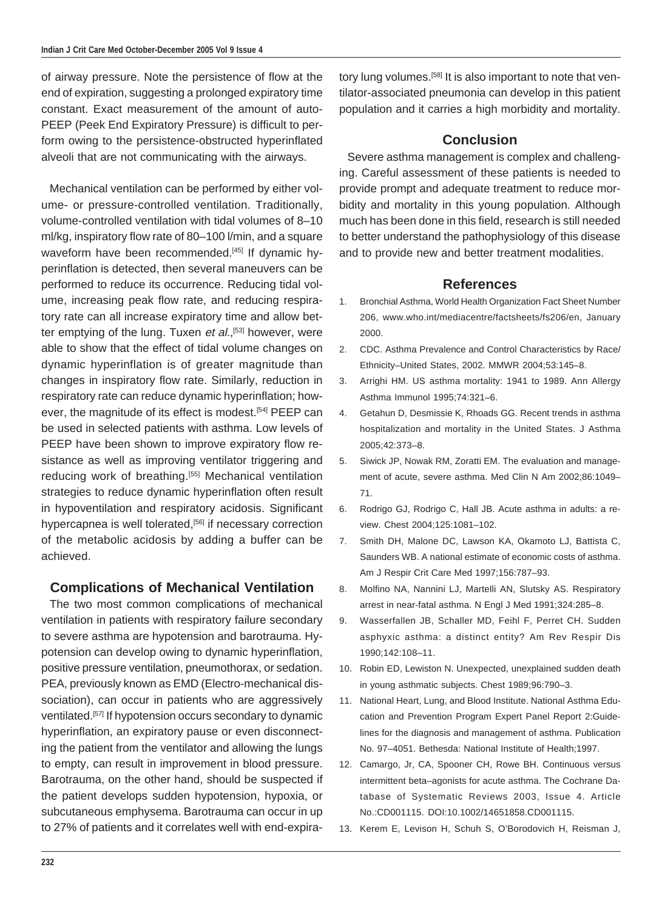of airway pressure. Note the persistence of flow at the end of expiration, suggesting a prolonged expiratory time constant. Exact measurement of the amount of auto-PEEP (Peek End Expiratory Pressure) is difficult to perform owing to the persistence-obstructed hyperinflated alveoli that are not communicating with the airways.

Mechanical ventilation can be performed by either volume- or pressure-controlled ventilation. Traditionally, volume-controlled ventilation with tidal volumes of 8–10 ml/kg, inspiratory flow rate of 80–100 l/min, and a square waveform have been recommended.<sup>[45]</sup> If dynamic hyperinflation is detected, then several maneuvers can be performed to reduce its occurrence. Reducing tidal volume, increasing peak flow rate, and reducing respiratory rate can all increase expiratory time and allow better emptying of the lung. Tuxen *et al.*,<sup>[53]</sup> however, were able to show that the effect of tidal volume changes on dynamic hyperinflation is of greater magnitude than changes in inspiratory flow rate. Similarly, reduction in respiratory rate can reduce dynamic hyperinflation; however, the magnitude of its effect is modest.<sup>[54]</sup> PEEP can be used in selected patients with asthma. Low levels of PEEP have been shown to improve expiratory flow resistance as well as improving ventilator triggering and reducing work of breathing.<sup>[55]</sup> Mechanical ventilation strategies to reduce dynamic hyperinflation often result in hypoventilation and respiratory acidosis. Significant hypercapnea is well tolerated,<sup>[56]</sup> if necessary correction of the metabolic acidosis by adding a buffer can be achieved.

### **Complications of Mechanical Ventilation**

The two most common complications of mechanical ventilation in patients with respiratory failure secondary to severe asthma are hypotension and barotrauma. Hypotension can develop owing to dynamic hyperinflation, positive pressure ventilation, pneumothorax, or sedation. PEA, previously known as EMD (Electro-mechanical dissociation), can occur in patients who are aggressively ventilated.[57] If hypotension occurs secondary to dynamic hyperinflation, an expiratory pause or even disconnecting the patient from the ventilator and allowing the lungs to empty, can result in improvement in blood pressure. Barotrauma, on the other hand, should be suspected if the patient develops sudden hypotension, hypoxia, or subcutaneous emphysema. Barotrauma can occur in up to 27% of patients and it correlates well with end-expiratory lung volumes.<sup>[58]</sup> It is also important to note that ventilator-associated pneumonia can develop in this patient population and it carries a high morbidity and mortality.

### **Conclusion**

Severe asthma management is complex and challenging. Careful assessment of these patients is needed to provide prompt and adequate treatment to reduce morbidity and mortality in this young population. Although much has been done in this field, research is still needed to better understand the pathophysiology of this disease and to provide new and better treatment modalities.

#### **References**

- 1. Bronchial Asthma, World Health Organization Fact Sheet Number 206, www.who.int/mediacentre/factsheets/fs206/en, January 2000.
- 2. CDC. Asthma Prevalence and Control Characteristics by Race/ Ethnicity–United States, 2002. MMWR 2004;53:145–8.
- 3. Arrighi HM. US asthma mortality: 1941 to 1989. Ann Allergy Asthma Immunol 1995;74:321–6.
- 4. Getahun D, Desmissie K, Rhoads GG. Recent trends in asthma hospitalization and mortality in the United States. J Asthma 2005;42:373–8.
- 5. Siwick JP, Nowak RM, Zoratti EM. The evaluation and management of acute, severe asthma. Med Clin N Am 2002;86:1049– 71.
- 6. Rodrigo GJ, Rodrigo C, Hall JB. Acute asthma in adults: a review. Chest 2004;125:1081–102.
- 7. Smith DH, Malone DC, Lawson KA, Okamoto LJ, Battista C, Saunders WB. A national estimate of economic costs of asthma. Am J Respir Crit Care Med 1997;156:787–93.
- 8. Molfino NA, Nannini LJ, Martelli AN, Slutsky AS. Respiratory arrest in near-fatal asthma. N Engl J Med 1991;324:285–8.
- 9. Wasserfallen JB, Schaller MD, Feihl F, Perret CH. Sudden asphyxic asthma: a distinct entity? Am Rev Respir Dis 1990;142:108–11.
- 10. Robin ED, Lewiston N. Unexpected, unexplained sudden death in young asthmatic subjects. Chest 1989;96:790–3.
- 11. National Heart, Lung, and Blood Institute. National Asthma Education and Prevention Program Expert Panel Report 2:Guidelines for the diagnosis and management of asthma. Publication No. 97–4051. Bethesda: National Institute of Health;1997.
- 12. Camargo, Jr, CA, Spooner CH, Rowe BH. Continuous versus intermittent beta–agonists for acute asthma. The Cochrane Database of Systematic Reviews 2003, Issue 4. Article No.:CD001115. DOI:10.1002/14651858.CD001115.
- 13. Kerem E, Levison H, Schuh S, O'Borodovich H, Reisman J,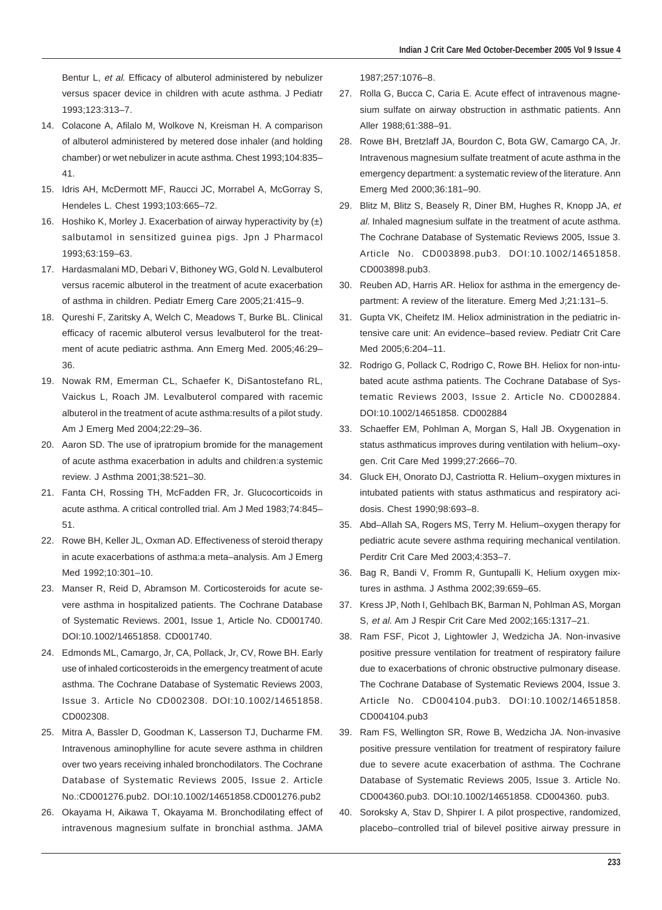Bentur L, et al. Efficacy of albuterol administered by nebulizer versus spacer device in children with acute asthma. J Pediatr 1993;123:313–7.

- 14. Colacone A, Afilalo M, Wolkove N, Kreisman H. A comparison of albuterol administered by metered dose inhaler (and holding chamber) or wet nebulizer in acute asthma. Chest 1993;104:835– 41.
- 15. Idris AH, McDermott MF, Raucci JC, Morrabel A, McGorray S, Hendeles L. Chest 1993;103:665–72.
- 16. Hoshiko K, Morley J. Exacerbation of airway hyperactivity by  $(\pm)$ salbutamol in sensitized guinea pigs. Jpn J Pharmacol 1993;63:159–63.
- 17. Hardasmalani MD, Debari V, Bithoney WG, Gold N. Levalbuterol versus racemic albuterol in the treatment of acute exacerbation of asthma in children. Pediatr Emerg Care 2005;21:415–9.
- 18. Qureshi F, Zaritsky A, Welch C, Meadows T, Burke BL. Clinical efficacy of racemic albuterol versus levalbuterol for the treatment of acute pediatric asthma. Ann Emerg Med. 2005;46:29– 36.
- 19. Nowak RM, Emerman CL, Schaefer K, DiSantostefano RL, Vaickus L, Roach JM. Levalbuterol compared with racemic albuterol in the treatment of acute asthma:results of a pilot study. Am J Emerg Med 2004;22:29–36.
- 20. Aaron SD. The use of ipratropium bromide for the management of acute asthma exacerbation in adults and children:a systemic review. J Asthma 2001;38:521–30.
- 21. Fanta CH, Rossing TH, McFadden FR, Jr. Glucocorticoids in acute asthma. A critical controlled trial. Am J Med 1983;74:845– 51.
- 22. Rowe BH, Keller JL, Oxman AD, Effectiveness of steroid therapy in acute exacerbations of asthma:a meta–analysis. Am J Emerg Med 1992;10:301–10.
- 23. Manser R, Reid D, Abramson M. Corticosteroids for acute severe asthma in hospitalized patients. The Cochrane Database of Systematic Reviews. 2001, Issue 1, Article No. CD001740. DOI:10.1002/14651858. CD001740.
- 24. Edmonds ML, Camargo, Jr, CA, Pollack, Jr, CV, Rowe BH. Early use of inhaled corticosteroids in the emergency treatment of acute asthma. The Cochrane Database of Systematic Reviews 2003, Issue 3. Article No CD002308. DOI:10.1002/14651858. CD002308.
- 25. Mitra A, Bassler D, Goodman K, Lasserson TJ, Ducharme FM. Intravenous aminophylline for acute severe asthma in children over two years receiving inhaled bronchodilators. The Cochrane Database of Systematic Reviews 2005, Issue 2. Article No.:CD001276.pub2. DOI:10.1002/14651858.CD001276.pub2
- 26. Okayama H, Aikawa T, Okayama M. Bronchodilating effect of intravenous magnesium sulfate in bronchial asthma. JAMA

1987;257:1076–8.

- 27. Rolla G, Bucca C, Caria E. Acute effect of intravenous magnesium sulfate on airway obstruction in asthmatic patients. Ann Aller 1988;61:388–91.
- 28. Rowe BH, Bretzlaff JA, Bourdon C, Bota GW, Camargo CA, Jr. Intravenous magnesium sulfate treatment of acute asthma in the emergency department: a systematic review of the literature. Ann Emerg Med 2000;36:181–90.
- 29. Blitz M, Blitz S, Beasely R, Diner BM, Hughes R, Knopp JA, et al. Inhaled magnesium sulfate in the treatment of acute asthma. The Cochrane Database of Systematic Reviews 2005, Issue 3. Article No. CD003898.pub3. DOI:10.1002/14651858. CD003898.pub3.
- 30. Reuben AD, Harris AR. Heliox for asthma in the emergency department: A review of the literature. Emerg Med J;21:131–5.
- 31. Gupta VK, Cheifetz IM. Heliox administration in the pediatric intensive care unit: An evidence–based review. Pediatr Crit Care Med 2005;6:204–11.
- 32. Rodrigo G, Pollack C, Rodrigo C, Rowe BH. Heliox for non-intubated acute asthma patients. The Cochrane Database of Systematic Reviews 2003, Issue 2. Article No. CD002884. DOI:10.1002/14651858. CD002884
- 33. Schaeffer EM, Pohlman A, Morgan S, Hall JB. Oxygenation in status asthmaticus improves during ventilation with helium–oxygen. Crit Care Med 1999;27:2666–70.
- 34. Gluck EH, Onorato DJ, Castriotta R. Helium–oxygen mixtures in intubated patients with status asthmaticus and respiratory acidosis. Chest 1990;98:693–8.
- 35. Abd–Allah SA, Rogers MS, Terry M. Helium–oxygen therapy for pediatric acute severe asthma requiring mechanical ventilation. Perditr Crit Care Med 2003;4:353–7.
- 36. Bag R, Bandi V, Fromm R, Guntupalli K, Helium oxygen mixtures in asthma. J Asthma 2002;39:659–65.
- 37. Kress JP, Noth I, Gehlbach BK, Barman N, Pohlman AS, Morgan S, et al. Am J Respir Crit Care Med 2002;165:1317–21.
- 38. Ram FSF, Picot J, Lightowler J, Wedzicha JA. Non-invasive positive pressure ventilation for treatment of respiratory failure due to exacerbations of chronic obstructive pulmonary disease. The Cochrane Database of Systematic Reviews 2004, Issue 3. Article No. CD004104.pub3. DOI:10.1002/14651858. CD004104.pub3
- 39. Ram FS, Wellington SR, Rowe B, Wedzicha JA. Non-invasive positive pressure ventilation for treatment of respiratory failure due to severe acute exacerbation of asthma. The Cochrane Database of Systematic Reviews 2005, Issue 3. Article No. CD004360.pub3. DOI:10.1002/14651858. CD004360. pub3.
- 40. Soroksky A, Stav D, Shpirer I. A pilot prospective, randomized, placebo–controlled trial of bilevel positive airway pressure in